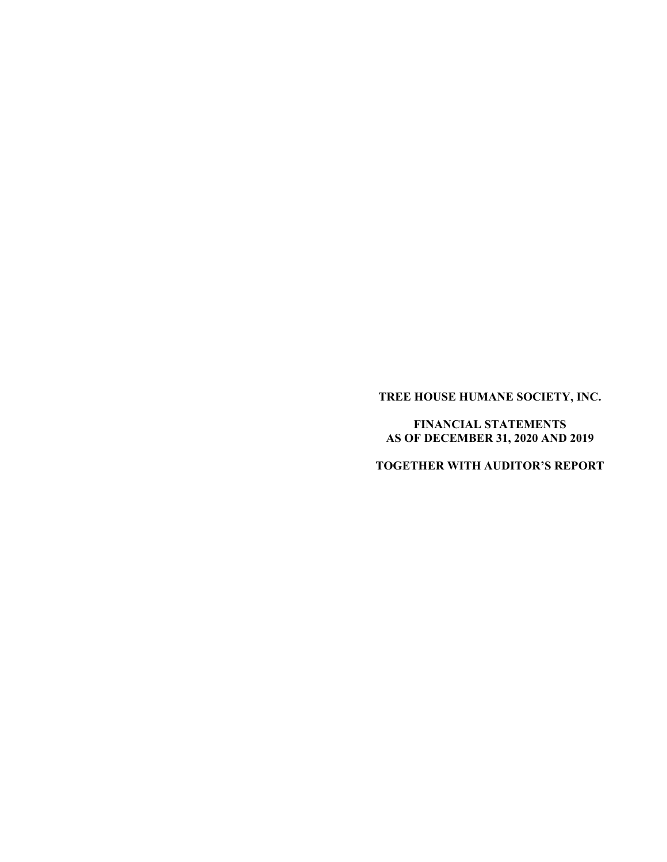**TREE HOUSE HUMANE SOCIETY, INC.** 

**FINANCIAL STATEMENTS AS OF DECEMBER 31, 2020 AND 2019** 

**TOGETHER WITH AUDITOR'S REPORT**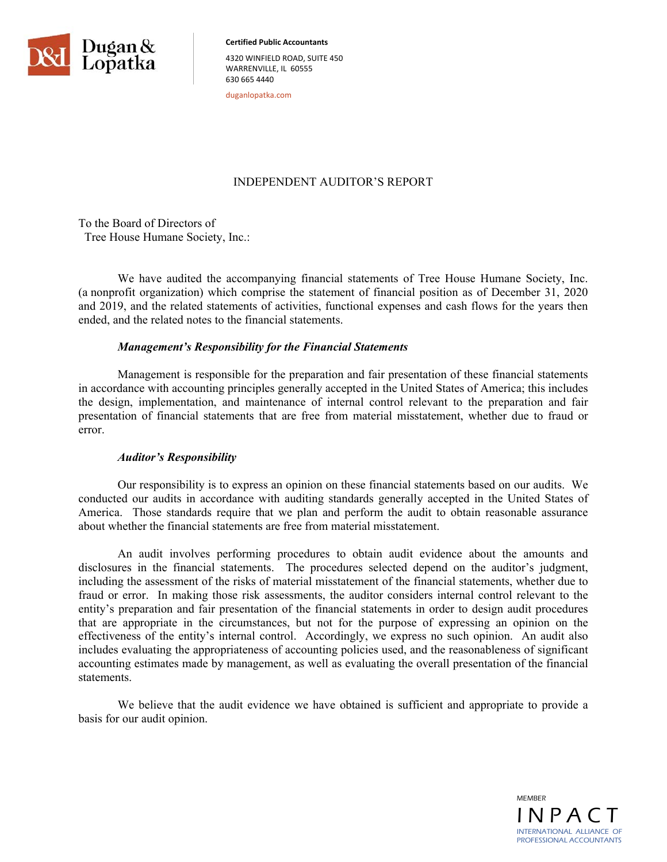

**Certified Public Accountants**  4320 WINFIELD ROAD, SUITE 450 WARRENVILLE, IL 60555 630 665 4440

duganlopatka.com

# INDEPENDENT AUDITOR'S REPORT

To the Board of Directors of Tree House Humane Society, Inc.:

 We have audited the accompanying financial statements of Tree House Humane Society, Inc. (a nonprofit organization) which comprise the statement of financial position as of December 31, 2020 and 2019, and the related statements of activities, functional expenses and cash flows for the years then ended, and the related notes to the financial statements.

## *Management's Responsibility for the Financial Statements*

 Management is responsible for the preparation and fair presentation of these financial statements in accordance with accounting principles generally accepted in the United States of America; this includes the design, implementation, and maintenance of internal control relevant to the preparation and fair presentation of financial statements that are free from material misstatement, whether due to fraud or error.

## *Auditor's Responsibility*

Our responsibility is to express an opinion on these financial statements based on our audits. We conducted our audits in accordance with auditing standards generally accepted in the United States of America. Those standards require that we plan and perform the audit to obtain reasonable assurance about whether the financial statements are free from material misstatement.

 An audit involves performing procedures to obtain audit evidence about the amounts and disclosures in the financial statements. The procedures selected depend on the auditor's judgment, including the assessment of the risks of material misstatement of the financial statements, whether due to fraud or error. In making those risk assessments, the auditor considers internal control relevant to the entity's preparation and fair presentation of the financial statements in order to design audit procedures that are appropriate in the circumstances, but not for the purpose of expressing an opinion on the effectiveness of the entity's internal control. Accordingly, we express no such opinion. An audit also includes evaluating the appropriateness of accounting policies used, and the reasonableness of significant accounting estimates made by management, as well as evaluating the overall presentation of the financial statements.

 We believe that the audit evidence we have obtained is sufficient and appropriate to provide a basis for our audit opinion.

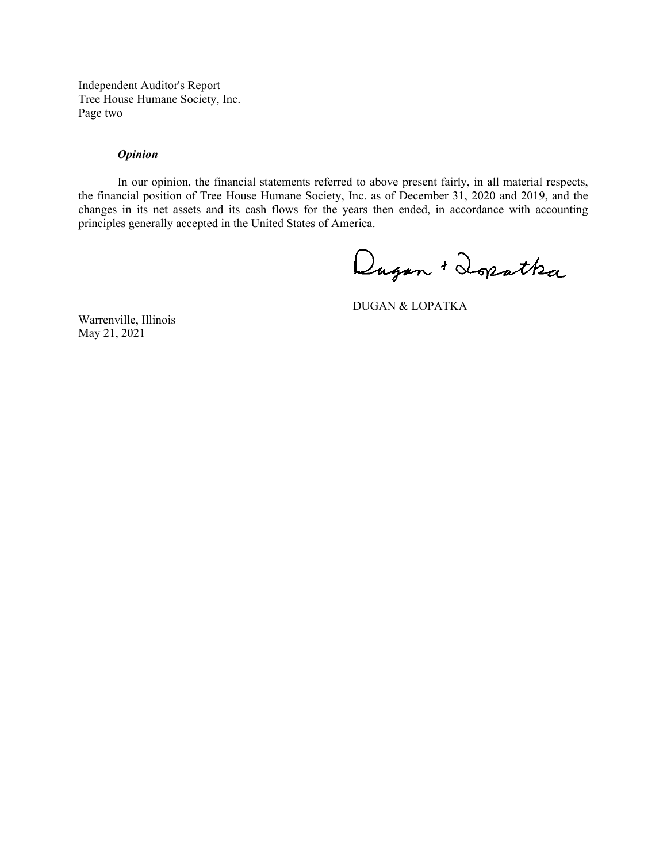Independent Auditor's Report Tree House Humane Society, Inc. Page two

### *Opinion*

 In our opinion, the financial statements referred to above present fairly, in all material respects, the financial position of Tree House Humane Society, Inc. as of December 31, 2020 and 2019, and the changes in its net assets and its cash flows for the years then ended, in accordance with accounting principles generally accepted in the United States of America.

Dugan + Dopatha

DUGAN & LOPATKA

Warrenville, Illinois May 21, 2021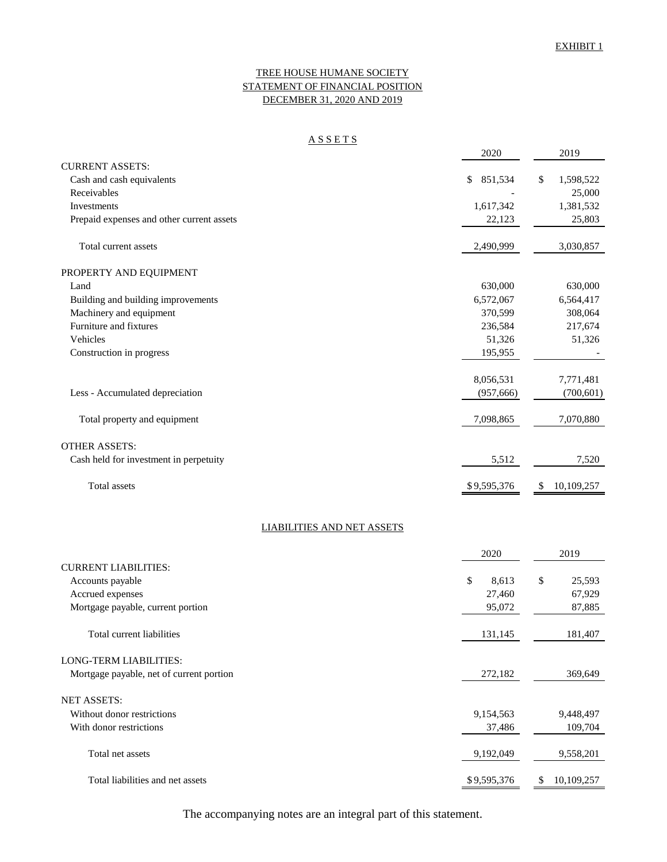### TREE HOUSE HUMANE SOCIETY STATEMENT OF FINANCIAL POSITION DECEMBER 31, 2020 AND 2019

### A S S E T S

|                                           | 2020          | 2019             |
|-------------------------------------------|---------------|------------------|
| <b>CURRENT ASSETS:</b>                    |               |                  |
| Cash and cash equivalents                 | \$<br>851,534 | \$<br>1,598,522  |
| Receivables                               |               | 25,000           |
| <b>Investments</b>                        | 1,617,342     | 1,381,532        |
| Prepaid expenses and other current assets | 22,123        | 25,803           |
| Total current assets                      | 2,490,999     | 3,030,857        |
| PROPERTY AND EQUIPMENT                    |               |                  |
| Land                                      | 630,000       | 630,000          |
| Building and building improvements        | 6,572,067     | 6,564,417        |
| Machinery and equipment                   | 370,599       | 308,064          |
| Furniture and fixtures                    | 236,584       | 217,674          |
| <b>Vehicles</b>                           | 51,326        | 51,326           |
| Construction in progress                  | 195,955       |                  |
|                                           | 8,056,531     | 7,771,481        |
| Less - Accumulated depreciation           | (957, 666)    | (700, 601)       |
| Total property and equipment              | 7,098,865     | 7,070,880        |
| <b>OTHER ASSETS:</b>                      |               |                  |
| Cash held for investment in perpetuity    | 5,512         | 7,520            |
| <b>Total</b> assets                       | \$9,595,376   | 10,109,257<br>\$ |
|                                           |               |                  |

### LIABILITIES AND NET ASSETS

|                                          | 2020        | 2019         |
|------------------------------------------|-------------|--------------|
| <b>CURRENT LIABILITIES:</b>              |             |              |
| Accounts payable                         | \$<br>8,613 | \$<br>25,593 |
| Accrued expenses                         | 27,460      | 67,929       |
| Mortgage payable, current portion        | 95,072      | 87,885       |
| Total current liabilities                | 131,145     | 181,407      |
| <b>LONG-TERM LIABILITIES:</b>            |             |              |
| Mortgage payable, net of current portion | 272,182     | 369,649      |
| <b>NET ASSETS:</b>                       |             |              |
| Without donor restrictions               | 9,154,563   | 9,448,497    |
| With donor restrictions                  | 37,486      | 109,704      |
| Total net assets                         | 9,192,049   | 9,558,201    |
| Total liabilities and net assets         | \$9,595,376 | 10,109,257   |

The accompanying notes are an integral part of this statement.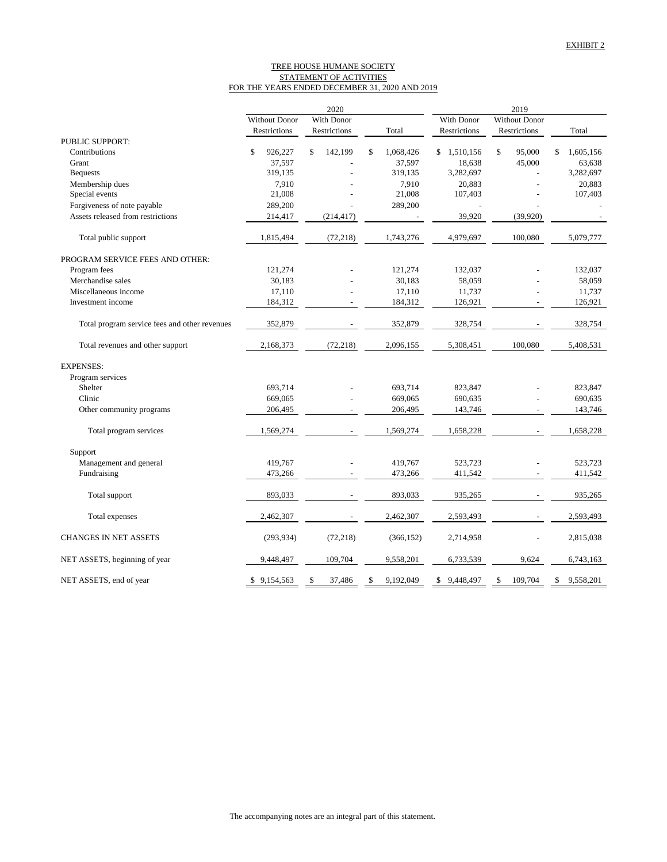#### FOR THE YEARS ENDED DECEMBER 31, 2020 AND 2019 TREE HOUSE HUMANE SOCIETY STATEMENT OF ACTIVITIES

|                                               | 2020                 |        |    |              |    |            | 2019            |    |                      |    |           |  |
|-----------------------------------------------|----------------------|--------|----|--------------|----|------------|-----------------|----|----------------------|----|-----------|--|
|                                               | <b>Without Donor</b> |        |    | With Donor   |    |            | With Donor      |    | <b>Without Donor</b> |    |           |  |
|                                               | Restrictions         |        |    | Restrictions |    | Total      | Restrictions    |    | Restrictions         |    | Total     |  |
| PUBLIC SUPPORT:                               |                      |        |    |              |    |            |                 |    |                      |    |           |  |
| Contributions                                 | \$<br>926,227        |        | \$ | 142,199      | \$ | 1,068,426  | \$1,510,156     | \$ | 95,000               | \$ | 1,605,156 |  |
| Grant                                         | 37,597               |        |    |              |    | 37,597     | 18,638          |    | 45,000               |    | 63,638    |  |
| <b>Bequests</b>                               | 319,135              |        |    |              |    | 319,135    | 3,282,697       |    | $\overline{a}$       |    | 3,282,697 |  |
| Membership dues                               |                      | 7,910  |    |              |    | 7,910      | 20.883          |    |                      |    | 20,883    |  |
| Special events                                | 21,008               |        |    |              |    | 21,008     | 107,403         |    |                      |    | 107,403   |  |
| Forgiveness of note payable                   | 289,200              |        |    |              |    | 289,200    |                 |    |                      |    |           |  |
| Assets released from restrictions             | 214,417              |        |    | (214, 417)   |    |            | 39,920          |    | (39,920)             |    |           |  |
|                                               |                      |        |    |              |    |            |                 |    |                      |    |           |  |
| Total public support                          | 1,815,494            |        |    | (72, 218)    |    | 1,743,276  | 4,979,697       |    | 100,080              |    | 5,079,777 |  |
| PROGRAM SERVICE FEES AND OTHER:               |                      |        |    |              |    |            |                 |    |                      |    |           |  |
| Program fees                                  | 121,274              |        |    |              |    | 121,274    | 132,037         |    |                      |    | 132,037   |  |
| Merchandise sales                             |                      | 30,183 |    |              |    | 30,183     | 58,059          |    |                      |    | 58,059    |  |
| Miscellaneous income                          |                      | 17,110 |    |              |    | 17,110     | 11,737          |    |                      |    | 11,737    |  |
| Investment income                             | 184,312              |        |    |              |    | 184,312    | 126,921         |    |                      |    | 126,921   |  |
|                                               |                      |        |    |              |    |            |                 |    |                      |    |           |  |
| Total program service fees and other revenues | 352,879              |        |    |              |    | 352,879    | 328,754         |    |                      |    | 328,754   |  |
| Total revenues and other support              | 2,168,373            |        |    | (72, 218)    |    | 2,096,155  | 5,308,451       |    | 100.080              |    | 5,408,531 |  |
| <b>EXPENSES:</b>                              |                      |        |    |              |    |            |                 |    |                      |    |           |  |
| Program services                              |                      |        |    |              |    |            |                 |    |                      |    |           |  |
| Shelter                                       | 693,714              |        |    |              |    | 693,714    | 823,847         |    |                      |    | 823,847   |  |
| Clinic                                        | 669,065              |        |    |              |    | 669,065    | 690,635         |    |                      |    | 690,635   |  |
| Other community programs                      | 206,495              |        |    |              |    | 206,495    | 143,746         |    |                      |    | 143,746   |  |
|                                               |                      |        |    |              |    |            |                 |    |                      |    |           |  |
| Total program services                        | 1,569,274            |        |    |              |    | 1,569,274  | 1,658,228       |    |                      |    | 1,658,228 |  |
| Support                                       |                      |        |    |              |    |            |                 |    |                      |    |           |  |
| Management and general                        | 419,767              |        |    |              |    | 419,767    | 523,723         |    |                      |    | 523,723   |  |
| Fundraising                                   | 473,266              |        |    |              |    | 473,266    | 411,542         |    |                      |    | 411,542   |  |
|                                               |                      |        |    |              |    |            |                 |    |                      |    |           |  |
| Total support                                 | 893,033              |        |    |              |    | 893,033    | 935,265         |    |                      |    | 935,265   |  |
| Total expenses                                | 2,462,307            |        |    |              |    | 2,462,307  | 2,593,493       |    |                      |    | 2,593,493 |  |
|                                               |                      |        |    |              |    |            |                 |    |                      |    |           |  |
| <b>CHANGES IN NET ASSETS</b>                  | (293, 934)           |        |    | (72, 218)    |    | (366, 152) | 2,714,958       |    |                      |    | 2,815,038 |  |
| NET ASSETS, beginning of year                 | 9,448,497            |        |    | 109,704      |    | 9,558,201  | 6,733,539       |    | 9,624                |    | 6,743,163 |  |
| NET ASSETS, end of year                       | \$9,154,563          |        | \$ | 37,486       | \$ | 9,192,049  | 9,448,497<br>\$ | \$ | 109,704              | \$ | 9,558,201 |  |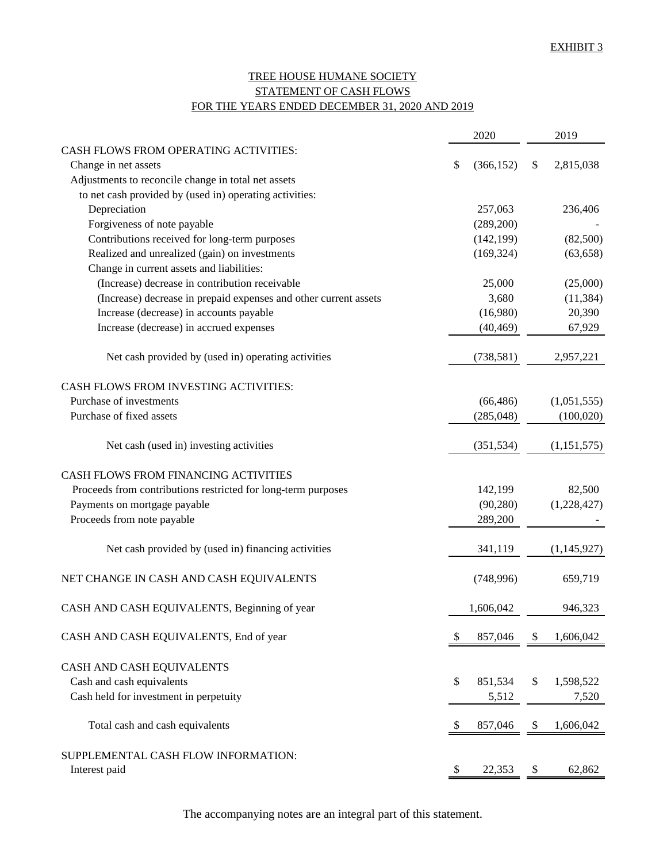## TREE HOUSE HUMANE SOCIETY STATEMENT OF CASH FLOWS FOR THE YEARS ENDED DECEMBER 31, 2020 AND 2019

|                                                                  | 2020             | 2019            |
|------------------------------------------------------------------|------------------|-----------------|
| CASH FLOWS FROM OPERATING ACTIVITIES:                            |                  |                 |
| Change in net assets                                             | \$<br>(366, 152) | \$<br>2,815,038 |
| Adjustments to reconcile change in total net assets              |                  |                 |
| to net cash provided by (used in) operating activities:          |                  |                 |
| Depreciation                                                     | 257,063          | 236,406         |
| Forgiveness of note payable                                      | (289,200)        |                 |
| Contributions received for long-term purposes                    | (142, 199)       | (82,500)        |
| Realized and unrealized (gain) on investments                    | (169, 324)       | (63, 658)       |
| Change in current assets and liabilities:                        |                  |                 |
| (Increase) decrease in contribution receivable                   | 25,000           | (25,000)        |
| (Increase) decrease in prepaid expenses and other current assets | 3,680            | (11, 384)       |
| Increase (decrease) in accounts payable                          | (16,980)         | 20,390          |
| Increase (decrease) in accrued expenses                          | (40, 469)        | 67,929          |
| Net cash provided by (used in) operating activities              | (738, 581)       | 2,957,221       |
| CASH FLOWS FROM INVESTING ACTIVITIES:                            |                  |                 |
| Purchase of investments                                          | (66, 486)        | (1,051,555)     |
| Purchase of fixed assets                                         | (285,048)        | (100, 020)      |
| Net cash (used in) investing activities                          | (351, 534)       | (1, 151, 575)   |
| CASH FLOWS FROM FINANCING ACTIVITIES                             |                  |                 |
| Proceeds from contributions restricted for long-term purposes    | 142,199          | 82,500          |
| Payments on mortgage payable                                     | (90, 280)        | (1,228,427)     |
| Proceeds from note payable                                       | 289,200          |                 |
| Net cash provided by (used in) financing activities              | 341,119          | (1,145,927)     |
| NET CHANGE IN CASH AND CASH EQUIVALENTS                          | (748, 996)       | 659,719         |
| CASH AND CASH EQUIVALENTS, Beginning of year                     | 1,606,042        | 946,323         |
| CASH AND CASH EQUIVALENTS, End of year                           | \$<br>857,046    | \$<br>1,606,042 |
| CASH AND CASH EQUIVALENTS                                        |                  |                 |
| Cash and cash equivalents                                        | \$<br>851,534    | \$<br>1,598,522 |
| Cash held for investment in perpetuity                           | 5,512            | 7,520           |
| Total cash and cash equivalents                                  | \$<br>857,046    | \$<br>1,606,042 |
| SUPPLEMENTAL CASH FLOW INFORMATION:                              |                  |                 |
| Interest paid                                                    | \$<br>22,353     | \$<br>62,862    |

The accompanying notes are an integral part of this statement.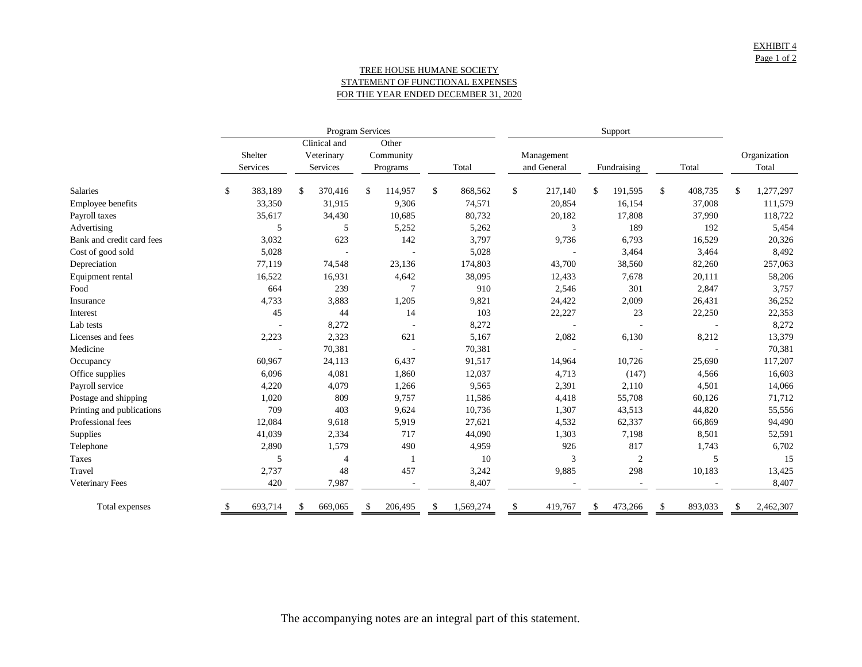#### TREE HOUSE HUMANE SOCIETY STATEMENT OF FUNCTIONAL EXPENSES FOR THE YEAR ENDED DECEMBER 31, 2020

|                           |                     |       | Program Services                       |   |                                |    |           | Support       |                           |    |                |    |         |               |                       |
|---------------------------|---------------------|-------|----------------------------------------|---|--------------------------------|----|-----------|---------------|---------------------------|----|----------------|----|---------|---------------|-----------------------|
|                           | Shelter<br>Services |       | Clinical and<br>Veterinary<br>Services |   | Other<br>Community<br>Programs |    | Total     |               | Management<br>and General |    | Fundraising    |    | Total   |               | Organization<br>Total |
| <b>Salaries</b>           | 383,189<br>\$       | \$    | 370,416                                | S | 114,957                        | \$ | 868,562   | \$            | 217,140                   | \$ | 191,595        |    | 408,735 | S.            | 1,277,297             |
| <b>Employee benefits</b>  | 33,350              |       | 31,915                                 |   | 9,306                          |    | 74,571    |               | 20,854                    |    | 16,154         | \$ | 37,008  |               | 111,579               |
| Payroll taxes             | 35,617              |       | 34,430                                 |   | 10,685                         |    | 80,732    |               | 20,182                    |    | 17,808         |    | 37,990  |               | 118,722               |
| Advertising               |                     | 5     | 5                                      |   | 5,252                          |    | 5,262     |               | 3                         |    | 189            |    | 192     |               | 5,454                 |
| Bank and credit card fees |                     | 3,032 | 623                                    |   | 142                            |    | 3,797     |               | 9,736                     |    | 6,793          |    | 16,529  |               | 20,326                |
| Cost of good sold         |                     | 5,028 |                                        |   |                                |    | 5,028     |               |                           |    | 3,464          |    | 3,464   |               | 8,492                 |
| Depreciation              | 77,119              |       | 74,548                                 |   | 23,136                         |    | 174,803   |               | 43,700                    |    | 38,560         |    | 82,260  |               | 257,063               |
| Equipment rental          | 16,522              |       | 16,931                                 |   | 4,642                          |    | 38,095    |               | 12,433                    |    | 7,678          |    | 20,111  |               | 58,206                |
| Food                      |                     | 664   | 239                                    |   | 7                              |    | 910       |               | 2,546                     |    | 301            |    | 2,847   |               | 3,757                 |
| Insurance                 |                     | 4,733 | 3,883                                  |   | 1,205                          |    | 9,821     |               | 24,422                    |    | 2,009          |    | 26,431  |               | 36,252                |
| Interest                  |                     | 45    | 44                                     |   | 14                             |    | 103       |               | 22,227                    |    | 23             |    | 22,250  |               | 22,353                |
| Lab tests                 |                     |       | 8,272                                  |   |                                |    | 8,272     |               |                           |    |                |    |         |               | 8,272                 |
| Licenses and fees         |                     | 2,223 | 2,323                                  |   | 621                            |    | 5,167     |               | 2,082                     |    | 6,130          |    | 8,212   |               | 13,379                |
| Medicine                  |                     |       | 70,381                                 |   |                                |    | 70,381    |               |                           |    |                |    |         |               | 70,381                |
| Occupancy                 | 60,967              |       | 24,113                                 |   | 6,437                          |    | 91,517    |               | 14,964                    |    | 10,726         |    | 25,690  |               | 117,207               |
| Office supplies           |                     | 6,096 | 4,081                                  |   | 1,860                          |    | 12,037    |               | 4,713                     |    | (147)          |    | 4,566   |               | 16,603                |
| Payroll service           |                     | 4,220 | 4,079                                  |   | 1,266                          |    | 9,565     |               | 2,391                     |    | 2,110          |    | 4,501   |               | 14,066                |
| Postage and shipping      |                     | 1,020 | 809                                    |   | 9,757                          |    | 11,586    |               | 4,418                     |    | 55,708         |    | 60,126  |               | 71,712                |
| Printing and publications |                     | 709   | 403                                    |   | 9,624                          |    | 10,736    |               | 1,307                     |    | 43,513         |    | 44,820  |               | 55,556                |
| Professional fees         | 12,084              |       | 9,618                                  |   | 5,919                          |    | 27,621    |               | 4,532                     |    | 62,337         |    | 66,869  |               | 94,490                |
| Supplies                  | 41,039              |       | 2,334                                  |   | 717                            |    | 44,090    |               | 1,303                     |    | 7,198          |    | 8,501   |               | 52,591                |
| Telephone                 |                     | 2,890 | 1,579                                  |   | 490                            |    | 4,959     |               | 926                       |    | 817            |    | 1,743   |               | 6,702                 |
| Taxes                     |                     | 5     | $\overline{4}$                         |   | -1                             |    | 10        |               | 3                         |    | $\overline{2}$ |    | 5       |               | 15                    |
| Travel                    |                     | 2,737 | 48                                     |   | 457                            |    | 3,242     |               | 9,885                     |    | 298            |    | 10,183  |               | 13,425                |
| <b>Veterinary Fees</b>    |                     | 420   | 7,987                                  |   |                                |    | 8,407     |               |                           |    |                |    |         |               | 8,407                 |
| Total expenses            | 693,714<br>S        |       | 669,065                                |   | 206,495                        | S  | 1,569,274 | <sup>\$</sup> | 419,767                   |    | 473,266        |    | 893,033 | <sup>\$</sup> | 2,462,307             |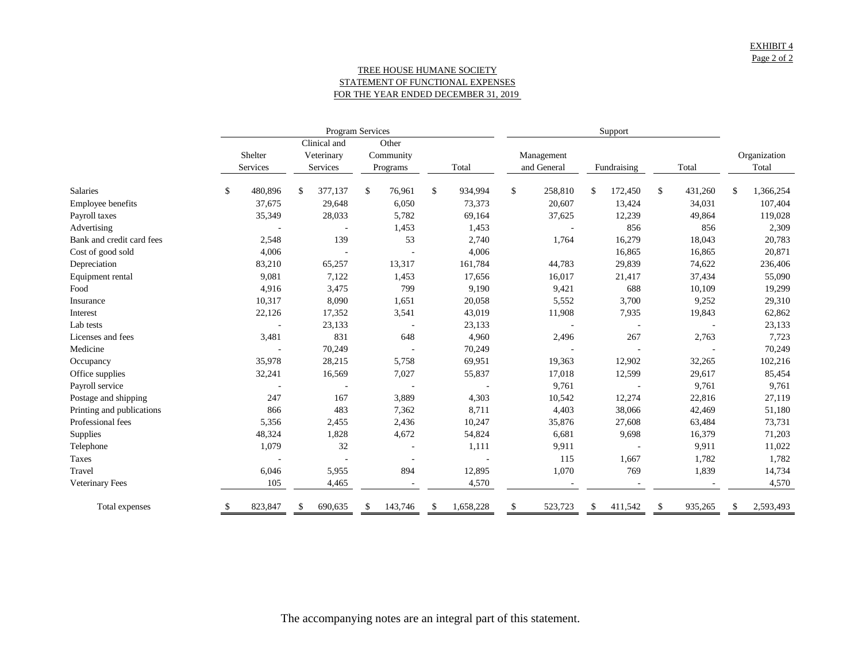### TREE HOUSE HUMANE SOCIETY STATEMENT OF FUNCTIONAL EXPENSES FOR THE YEAR ENDED DECEMBER 31, 2019

|                           |                     |         |                                        | Program Services |                                |    |           |               | Support                   |     |             |    |         |                       |
|---------------------------|---------------------|---------|----------------------------------------|------------------|--------------------------------|----|-----------|---------------|---------------------------|-----|-------------|----|---------|-----------------------|
|                           | Shelter<br>Services |         | Clinical and<br>Veterinary<br>Services |                  | Other<br>Community<br>Programs |    | Total     |               | Management<br>and General |     | Fundraising |    | Total   | Organization<br>Total |
| <b>Salaries</b>           | \$                  | 480,896 | 377,137<br>\$                          | \$               | 76,961                         | \$ | 934,994   | \$            | 258,810                   | \$  | 172,450     | \$ | 431,260 | \$<br>1,366,254       |
| Employee benefits         |                     | 37,675  | 29,648                                 |                  | 6,050                          |    | 73,373    |               | 20,607                    |     | 13,424      |    | 34,031  | 107,404               |
| Payroll taxes             |                     | 35,349  | 28,033                                 |                  | 5,782                          |    | 69,164    |               | 37,625                    |     | 12,239      |    | 49,864  | 119,028               |
| Advertising               |                     |         |                                        |                  | 1,453                          |    | 1,453     |               |                           |     | 856         |    | 856     | 2,309                 |
| Bank and credit card fees |                     | 2,548   | 139                                    |                  | 53                             |    | 2,740     |               | 1,764                     |     | 16,279      |    | 18,043  | 20,783                |
| Cost of good sold         |                     | 4,006   |                                        |                  |                                |    | 4,006     |               |                           |     | 16,865      |    | 16,865  | 20,871                |
| Depreciation              |                     | 83,210  | 65,257                                 |                  | 13,317                         |    | 161,784   |               | 44,783                    |     | 29,839      |    | 74,622  | 236,406               |
| Equipment rental          |                     | 9,081   | 7,122                                  |                  | 1,453                          |    | 17,656    |               | 16,017                    |     | 21,417      |    | 37,434  | 55,090                |
| Food                      |                     | 4,916   | 3,475                                  |                  | 799                            |    | 9,190     |               | 9,421                     |     | 688         |    | 10,109  | 19,299                |
| Insurance                 |                     | 10,317  | 8,090                                  |                  | 1,651                          |    | 20,058    |               | 5,552                     |     | 3,700       |    | 9,252   | 29,310                |
| Interest                  |                     | 22,126  | 17,352                                 |                  | 3,541                          |    | 43,019    |               | 11,908                    |     | 7,935       |    | 19,843  | 62,862                |
| Lab tests                 |                     |         | 23,133                                 |                  |                                |    | 23,133    |               |                           |     |             |    |         | 23,133                |
| Licenses and fees         |                     | 3,481   | 831                                    |                  | 648                            |    | 4,960     |               | 2,496                     |     | 267         |    | 2,763   | 7,723                 |
| Medicine                  |                     |         | 70,249                                 |                  |                                |    | 70,249    |               |                           |     |             |    |         | 70,249                |
| Occupancy                 |                     | 35,978  | 28,215                                 |                  | 5,758                          |    | 69,951    |               | 19,363                    |     | 12,902      |    | 32,265  | 102,216               |
| Office supplies           |                     | 32,241  | 16,569                                 |                  | 7,027                          |    | 55,837    |               | 17,018                    |     | 12,599      |    | 29,617  | 85,454                |
| Payroll service           |                     |         |                                        |                  |                                |    |           |               | 9,761                     |     |             |    | 9,761   | 9,761                 |
| Postage and shipping      |                     | 247     | 167                                    |                  | 3,889                          |    | 4,303     |               | 10,542                    |     | 12,274      |    | 22,816  | 27,119                |
| Printing and publications |                     | 866     | 483                                    |                  | 7,362                          |    | 8,711     |               | 4,403                     |     | 38,066      |    | 42,469  | 51,180                |
| Professional fees         |                     | 5,356   | 2,455                                  |                  | 2,436                          |    | 10,247    |               | 35,876                    |     | 27,608      |    | 63,484  | 73,731                |
| Supplies                  |                     | 48,324  | 1,828                                  |                  | 4,672                          |    | 54,824    |               | 6,681                     |     | 9,698       |    | 16,379  | 71,203                |
| Telephone                 |                     | 1,079   | 32                                     |                  |                                |    | 1,111     |               | 9,911                     |     |             |    | 9,911   | 11,022                |
| Taxes                     |                     |         |                                        |                  |                                |    |           |               | 115                       |     | 1,667       |    | 1,782   | 1,782                 |
| Travel                    |                     | 6,046   | 5,955                                  |                  | 894                            |    | 12,895    |               | 1,070                     |     | 769         |    | 1,839   | 14,734                |
| Veterinary Fees           |                     | 105     | 4,465                                  |                  |                                |    | 4,570     |               |                           |     |             |    |         | 4,570                 |
| Total expenses            | \$                  | 823,847 | 690,635                                |                  | 143,746                        | S  | 1,658,228 | <sup>\$</sup> | 523,723                   | \$. | 411,542     | S  | 935,265 | \$<br>2,593,493       |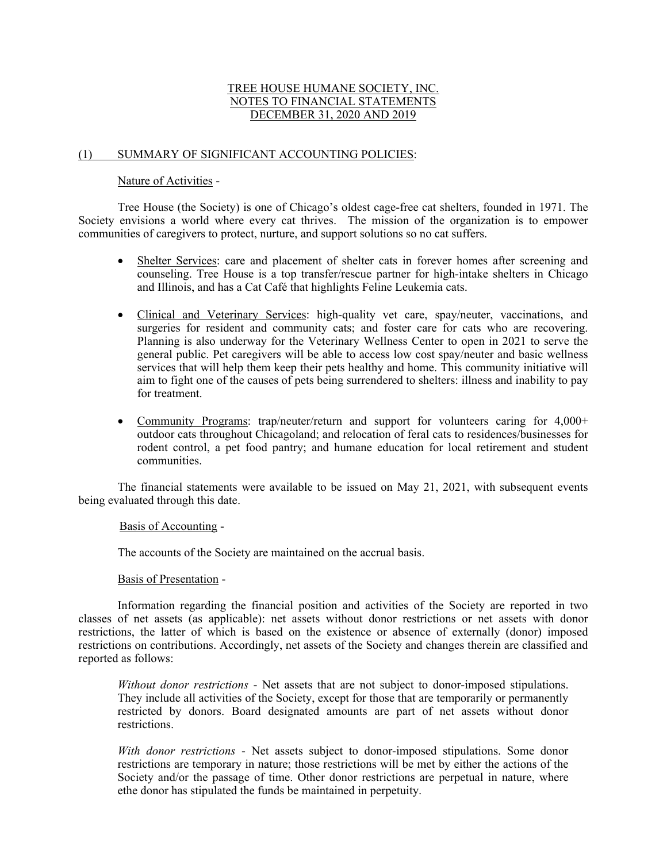## TREE HOUSE HUMANE SOCIETY, INC. NOTES TO FINANCIAL STATEMENTS DECEMBER 31, 2020 AND 2019

### (1) SUMMARY OF SIGNIFICANT ACCOUNTING POLICIES:

#### Nature of Activities -

 Tree House (the Society) is one of Chicago's oldest cage-free cat shelters, founded in 1971. The Society envisions a world where every cat thrives. The mission of the organization is to empower communities of caregivers to protect, nurture, and support solutions so no cat suffers.

- Shelter Services: care and placement of shelter cats in forever homes after screening and counseling. Tree House is a top transfer/rescue partner for high-intake shelters in Chicago and Illinois, and has a Cat Café that highlights Feline Leukemia cats.
- Clinical and Veterinary Services: high-quality vet care, spay/neuter, vaccinations, and surgeries for resident and community cats; and foster care for cats who are recovering. Planning is also underway for the Veterinary Wellness Center to open in 2021 to serve the general public. Pet caregivers will be able to access low cost spay/neuter and basic wellness services that will help them keep their pets healthy and home. This community initiative will aim to fight one of the causes of pets being surrendered to shelters: illness and inability to pay for treatment.
- Community Programs: trap/neuter/return and support for volunteers caring for 4,000+ outdoor cats throughout Chicagoland; and relocation of feral cats to residences/businesses for rodent control, a pet food pantry; and humane education for local retirement and student communities.

 The financial statements were available to be issued on May 21, 2021, with subsequent events being evaluated through this date.

### Basis of Accounting -

The accounts of the Society are maintained on the accrual basis.

#### Basis of Presentation -

 Information regarding the financial position and activities of the Society are reported in two classes of net assets (as applicable): net assets without donor restrictions or net assets with donor restrictions, the latter of which is based on the existence or absence of externally (donor) imposed restrictions on contributions. Accordingly, net assets of the Society and changes therein are classified and reported as follows:

*Without donor restrictions* - Net assets that are not subject to donor-imposed stipulations. They include all activities of the Society, except for those that are temporarily or permanently restricted by donors. Board designated amounts are part of net assets without donor restrictions.

*With donor restrictions* - Net assets subject to donor-imposed stipulations. Some donor restrictions are temporary in nature; those restrictions will be met by either the actions of the Society and/or the passage of time. Other donor restrictions are perpetual in nature, where ethe donor has stipulated the funds be maintained in perpetuity.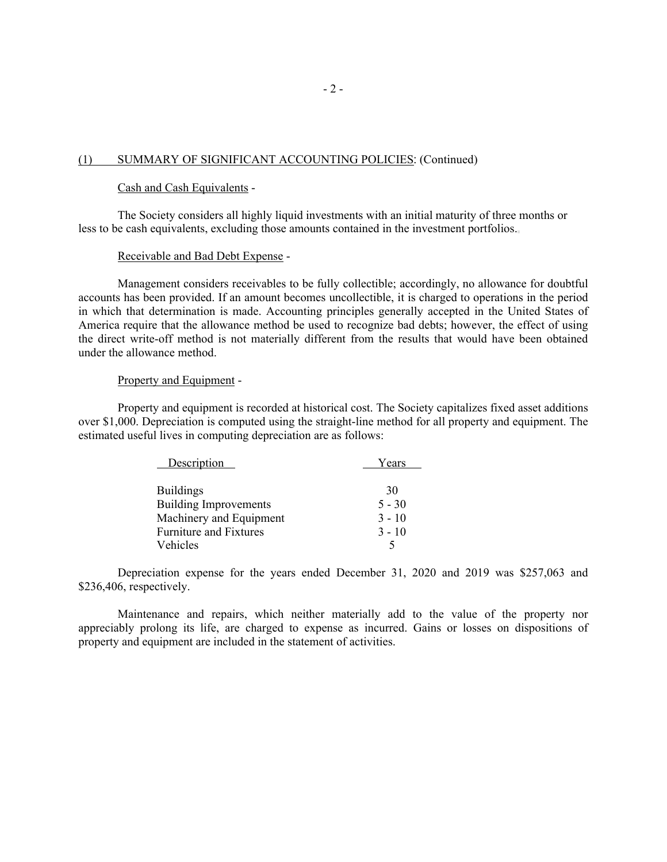### (1) SUMMARY OF SIGNIFICANT ACCOUNTING POLICIES: (Continued)

#### Cash and Cash Equivalents -

 The Society considers all highly liquid investments with an initial maturity of three months or less to be cash equivalents, excluding those amounts contained in the investment portfolios.

#### Receivable and Bad Debt Expense -

 Management considers receivables to be fully collectible; accordingly, no allowance for doubtful accounts has been provided. If an amount becomes uncollectible, it is charged to operations in the period in which that determination is made. Accounting principles generally accepted in the United States of America require that the allowance method be used to recognize bad debts; however, the effect of using the direct write-off method is not materially different from the results that would have been obtained under the allowance method.

#### Property and Equipment -

 Property and equipment is recorded at historical cost. The Society capitalizes fixed asset additions over \$1,000. Depreciation is computed using the straight-line method for all property and equipment. The estimated useful lives in computing depreciation are as follows:

| Description                  | Years    |
|------------------------------|----------|
|                              |          |
| <b>Buildings</b>             | 30       |
| <b>Building Improvements</b> | $5 - 30$ |
| Machinery and Equipment      | $3 - 10$ |
| Furniture and Fixtures       | $3 - 10$ |
| Vehicles                     |          |

 Depreciation expense for the years ended December 31, 2020 and 2019 was \$257,063 and \$236,406, respectively.

 Maintenance and repairs, which neither materially add to the value of the property nor appreciably prolong its life, are charged to expense as incurred. Gains or losses on dispositions of property and equipment are included in the statement of activities.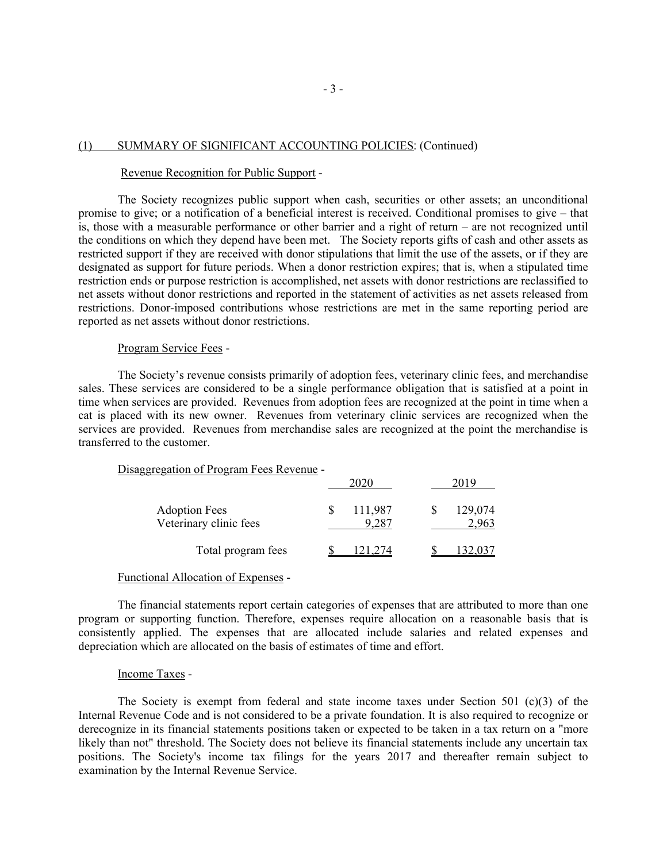### (1) SUMMARY OF SIGNIFICANT ACCOUNTING POLICIES: (Continued)

### Revenue Recognition for Public Support -

The Society recognizes public support when cash, securities or other assets; an unconditional promise to give; or a notification of a beneficial interest is received. Conditional promises to give – that is, those with a measurable performance or other barrier and a right of return – are not recognized until the conditions on which they depend have been met. The Society reports gifts of cash and other assets as restricted support if they are received with donor stipulations that limit the use of the assets, or if they are designated as support for future periods. When a donor restriction expires; that is, when a stipulated time restriction ends or purpose restriction is accomplished, net assets with donor restrictions are reclassified to net assets without donor restrictions and reported in the statement of activities as net assets released from restrictions. Donor-imposed contributions whose restrictions are met in the same reporting period are reported as net assets without donor restrictions.

#### Program Service Fees -

The Society's revenue consists primarily of adoption fees, veterinary clinic fees, and merchandise sales. These services are considered to be a single performance obligation that is satisfied at a point in time when services are provided. Revenues from adoption fees are recognized at the point in time when a cat is placed with its new owner. Revenues from veterinary clinic services are recognized when the services are provided. Revenues from merchandise sales are recognized at the point the merchandise is transferred to the customer.

| Disaggregation of Program Fees Revenue -       | 2020             | 2019             |
|------------------------------------------------|------------------|------------------|
| <b>Adoption Fees</b><br>Veterinary clinic fees | 111,987<br>9.287 | 129,074<br>2,963 |
| Total program fees                             |                  |                  |

#### Functional Allocation of Expenses -

 The financial statements report certain categories of expenses that are attributed to more than one program or supporting function. Therefore, expenses require allocation on a reasonable basis that is consistently applied. The expenses that are allocated include salaries and related expenses and depreciation which are allocated on the basis of estimates of time and effort.

#### Income Taxes -

 The Society is exempt from federal and state income taxes under Section 501 (c)(3) of the Internal Revenue Code and is not considered to be a private foundation. It is also required to recognize or derecognize in its financial statements positions taken or expected to be taken in a tax return on a "more likely than not" threshold. The Society does not believe its financial statements include any uncertain tax positions. The Society's income tax filings for the years 2017 and thereafter remain subject to examination by the Internal Revenue Service.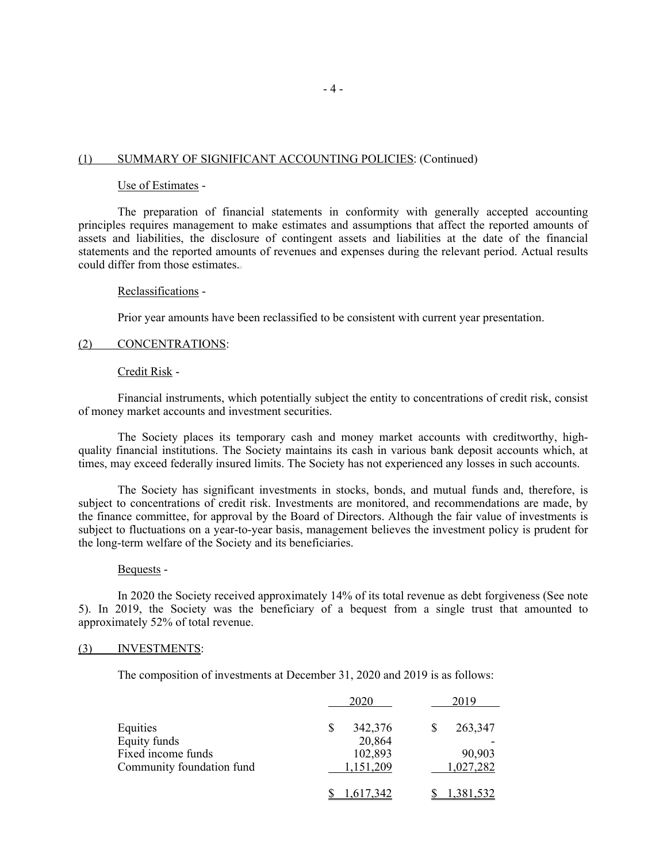#### (1) SUMMARY OF SIGNIFICANT ACCOUNTING POLICIES: (Continued)

#### Use of Estimates -

 The preparation of financial statements in conformity with generally accepted accounting principles requires management to make estimates and assumptions that affect the reported amounts of assets and liabilities, the disclosure of contingent assets and liabilities at the date of the financial statements and the reported amounts of revenues and expenses during the relevant period. Actual results could differ from those estimates.

#### Reclassifications -

Prior year amounts have been reclassified to be consistent with current year presentation.

### (2) CONCENTRATIONS:

#### Credit Risk -

 Financial instruments, which potentially subject the entity to concentrations of credit risk, consist of money market accounts and investment securities.

 The Society places its temporary cash and money market accounts with creditworthy, highquality financial institutions. The Society maintains its cash in various bank deposit accounts which, at times, may exceed federally insured limits. The Society has not experienced any losses in such accounts.

 The Society has significant investments in stocks, bonds, and mutual funds and, therefore, is subject to concentrations of credit risk. Investments are monitored, and recommendations are made, by the finance committee, for approval by the Board of Directors. Although the fair value of investments is subject to fluctuations on a year-to-year basis, management believes the investment policy is prudent for the long-term welfare of the Society and its beneficiaries.

#### Bequests -

 In 2020 the Society received approximately 14% of its total revenue as debt forgiveness (See note 5). In 2019, the Society was the beneficiary of a bequest from a single trust that amounted to approximately 52% of total revenue.

#### (3) INVESTMENTS:

The composition of investments at December 31, 2020 and 2019 is as follows:

|                           | 2020      | 2019      |
|---------------------------|-----------|-----------|
| Equities                  | 342,376   | 263,347   |
| Equity funds              | 20,864    |           |
| Fixed income funds        | 102,893   | 90,903    |
| Community foundation fund | 1,151,209 | 1,027,282 |
|                           | 1.617.342 | 1,381,532 |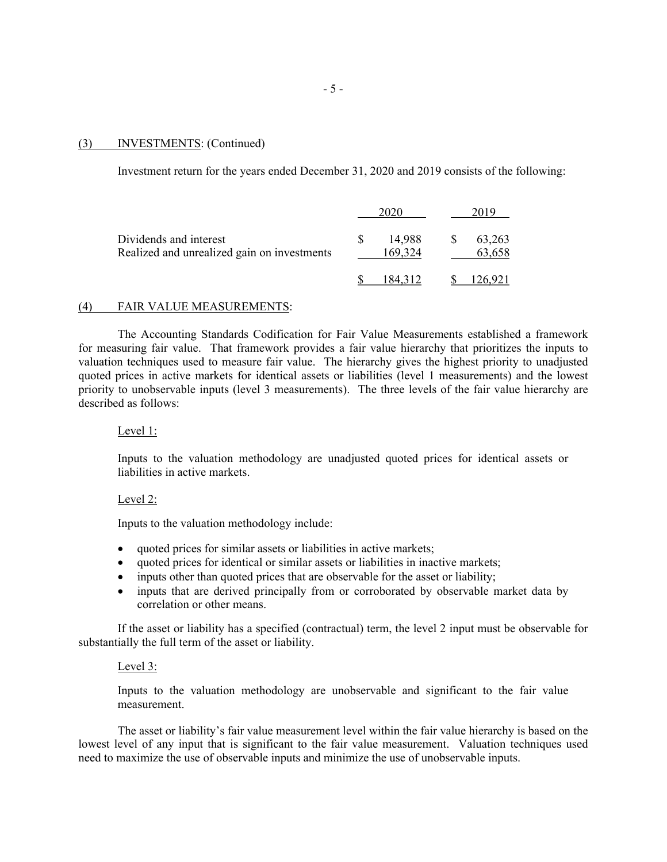### (3) INVESTMENTS: (Continued)

Investment return for the years ended December 31, 2020 and 2019 consists of the following:

|                                                                       | 2020              |                  |
|-----------------------------------------------------------------------|-------------------|------------------|
| Dividends and interest<br>Realized and unrealized gain on investments | 14,988<br>169,324 | 63,263<br>63,658 |
|                                                                       | 184.311           |                  |

#### (4) FAIR VALUE MEASUREMENTS:

 The Accounting Standards Codification for Fair Value Measurements established a framework for measuring fair value. That framework provides a fair value hierarchy that prioritizes the inputs to valuation techniques used to measure fair value. The hierarchy gives the highest priority to unadjusted quoted prices in active markets for identical assets or liabilities (level 1 measurements) and the lowest priority to unobservable inputs (level 3 measurements). The three levels of the fair value hierarchy are described as follows:

#### Level 1:

Inputs to the valuation methodology are unadjusted quoted prices for identical assets or liabilities in active markets.

### Level 2:

Inputs to the valuation methodology include:

- quoted prices for similar assets or liabilities in active markets;
- quoted prices for identical or similar assets or liabilities in inactive markets;
- inputs other than quoted prices that are observable for the asset or liability;
- inputs that are derived principally from or corroborated by observable market data by correlation or other means.

 If the asset or liability has a specified (contractual) term, the level 2 input must be observable for substantially the full term of the asset or liability.

#### Level 3:

Inputs to the valuation methodology are unobservable and significant to the fair value measurement.

The asset or liability's fair value measurement level within the fair value hierarchy is based on the lowest level of any input that is significant to the fair value measurement. Valuation techniques used need to maximize the use of observable inputs and minimize the use of unobservable inputs.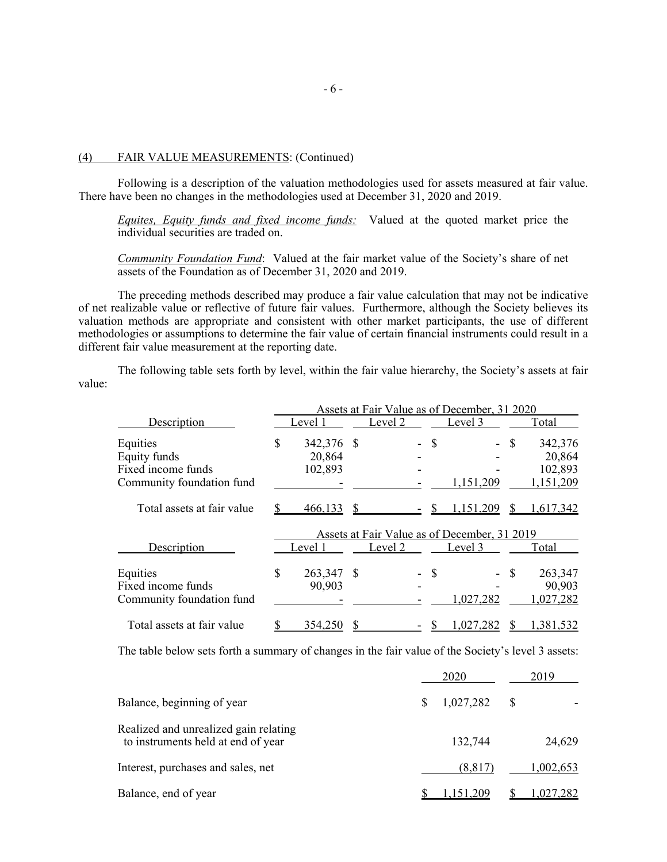### (4) FAIR VALUE MEASUREMENTS: (Continued)

 Following is a description of the valuation methodologies used for assets measured at fair value. There have been no changes in the methodologies used at December 31, 2020 and 2019.

*Equites, Equity funds and fixed income funds:* Valued at the quoted market price the individual securities are traded on.

*Community Foundation Fund*: Valued at the fair market value of the Society's share of net assets of the Foundation as of December 31, 2020 and 2019.

 The preceding methods described may produce a fair value calculation that may not be indicative of net realizable value or reflective of future fair values. Furthermore, although the Society believes its valuation methods are appropriate and consistent with other market participants, the use of different methodologies or assumptions to determine the fair value of certain financial instruments could result in a different fair value measurement at the reporting date.

 The following table sets forth by level, within the fair value hierarchy, the Society's assets at fair value:

|                            | Assets at Fair Value as of December, 31 2020 |            |    |         |                                            |                                              |      |           |  |  |  |
|----------------------------|----------------------------------------------|------------|----|---------|--------------------------------------------|----------------------------------------------|------|-----------|--|--|--|
| Description                | Level 1                                      |            |    | Level 2 |                                            | Level 3                                      |      | Total     |  |  |  |
| Equities                   | \$                                           | 342,376 \$ |    |         | $\mathbb{S}$<br>$\mathcal{L}^{\text{max}}$ | $\mathbf{r}$                                 | \$   | 342,376   |  |  |  |
| Equity funds               |                                              | 20,864     |    |         |                                            |                                              |      | 20,864    |  |  |  |
| Fixed income funds         |                                              | 102,893    |    |         |                                            |                                              |      | 102,893   |  |  |  |
| Community foundation fund  |                                              |            |    |         |                                            | 1,151,209                                    |      | 1,151,209 |  |  |  |
| Total assets at fair value |                                              |            | \$ |         |                                            | 1,151,209                                    |      | 1,617,342 |  |  |  |
|                            |                                              | 466,133    |    |         |                                            |                                              |      |           |  |  |  |
|                            |                                              |            |    |         |                                            | Assets at Fair Value as of December, 31 2019 |      |           |  |  |  |
| Description                |                                              | Level 1    |    | Level 2 |                                            | Level 3                                      |      | Total     |  |  |  |
| Equities                   | S                                            | 263,347 \$ |    |         | S<br>$\sim$                                |                                              | - \$ | 263,347   |  |  |  |
| Fixed income funds         |                                              | 90,903     |    |         |                                            |                                              |      | 90,903    |  |  |  |
| Community foundation fund  |                                              |            |    |         |                                            | 1,027,282                                    |      | 1,027,282 |  |  |  |

The table below sets forth a summary of changes in the fair value of the Society's level 3 assets:

|                                                                             |   | 2020      |   | 2019      |
|-----------------------------------------------------------------------------|---|-----------|---|-----------|
| Balance, beginning of year                                                  | S | 1,027,282 | S |           |
| Realized and unrealized gain relating<br>to instruments held at end of year |   | 132,744   |   | 24,629    |
| Interest, purchases and sales, net                                          |   | (8, 817)  |   | 1,002,653 |
| Balance, end of year                                                        |   |           |   |           |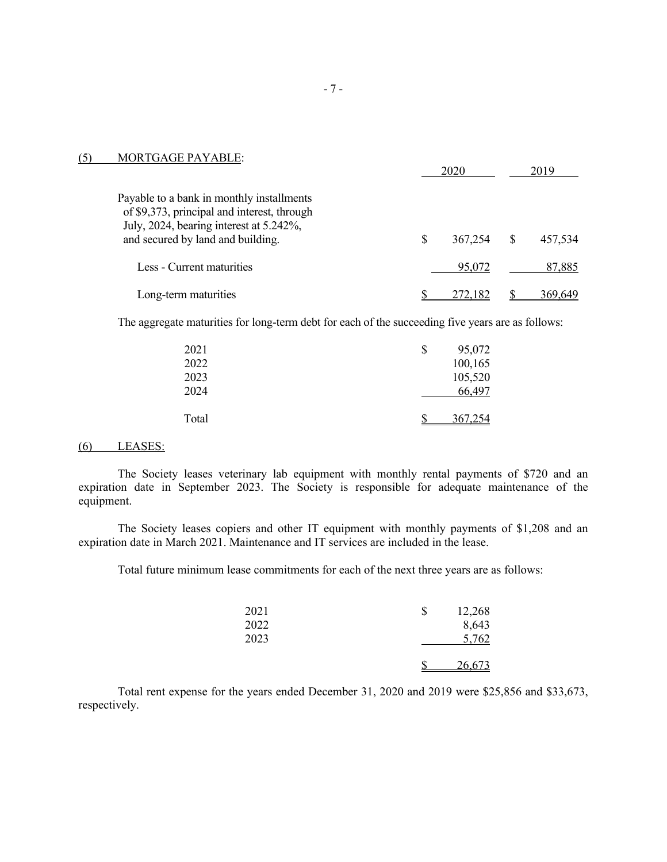| (5) | <b>MORTGAGE PAYABLE:</b>                                                                                                                                                 | 2020 |         | 2019 |         |
|-----|--------------------------------------------------------------------------------------------------------------------------------------------------------------------------|------|---------|------|---------|
|     | Payable to a bank in monthly installments<br>of \$9,373, principal and interest, through<br>July, 2024, bearing interest at 5.242%,<br>and secured by land and building. | S    | 367,254 | S    | 457,534 |
|     | Less - Current maturities                                                                                                                                                |      | 95,072  |      | 87,885  |
|     | Long-term maturities                                                                                                                                                     |      |         |      | 369,649 |

The aggregate maturities for long-term debt for each of the succeeding five years are as follows:

| 2021  | 95,072<br>\$ |
|-------|--------------|
| 2022  | 100,165      |
| 2023  | 105,520      |
| 2024  | 66,497       |
| Total | 367,254      |

### (6) LEASES:

 The Society leases veterinary lab equipment with monthly rental payments of \$720 and an expiration date in September 2023. The Society is responsible for adequate maintenance of the equipment.

The Society leases copiers and other IT equipment with monthly payments of \$1,208 and an expiration date in March 2021. Maintenance and IT services are included in the lease.

Total future minimum lease commitments for each of the next three years are as follows:

| 2021 | 12,268<br>\$ |
|------|--------------|
| 2022 | 8,643        |
| 2023 | 5,762        |
|      | 26,673<br>ጦ  |

 Total rent expense for the years ended December 31, 2020 and 2019 were \$25,856 and \$33,673, respectively.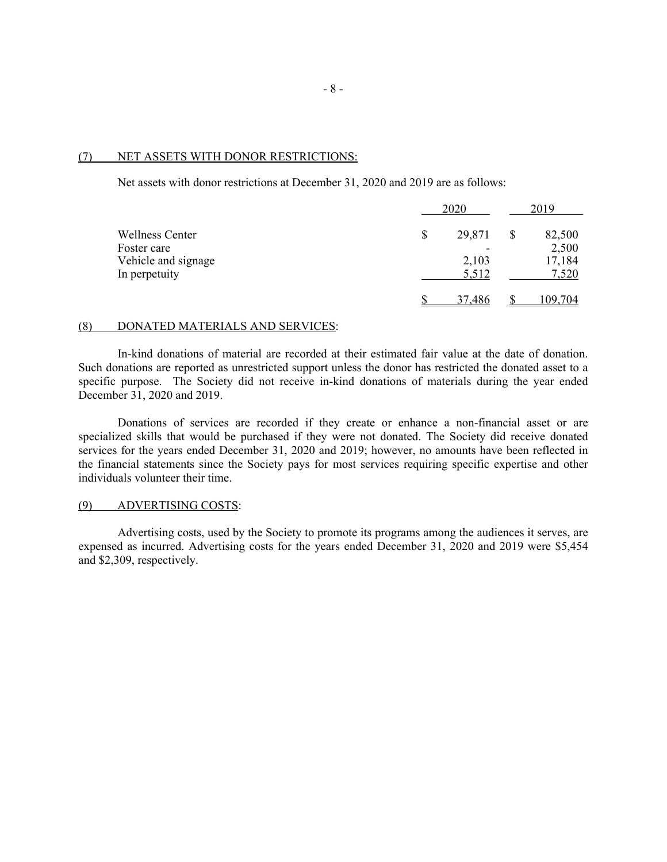#### (7) NET ASSETS WITH DONOR RESTRICTIONS:

Net assets with donor restrictions at December 31, 2020 and 2019 are as follows:

|                     | 2020         | 2019    |
|---------------------|--------------|---------|
| Wellness Center     | \$<br>29,871 | 82,500  |
| Foster care         |              | 2,500   |
| Vehicle and signage | 2,103        | 17,184  |
| In perpetuity       | 5,512        | 7,520   |
|                     | ,486         | 109,704 |

#### (8) DONATED MATERIALS AND SERVICES:

 In-kind donations of material are recorded at their estimated fair value at the date of donation. Such donations are reported as unrestricted support unless the donor has restricted the donated asset to a specific purpose. The Society did not receive in-kind donations of materials during the year ended December 31, 2020 and 2019.

 Donations of services are recorded if they create or enhance a non-financial asset or are specialized skills that would be purchased if they were not donated. The Society did receive donated services for the years ended December 31, 2020 and 2019; however, no amounts have been reflected in the financial statements since the Society pays for most services requiring specific expertise and other individuals volunteer their time.

#### (9) ADVERTISING COSTS:

 Advertising costs, used by the Society to promote its programs among the audiences it serves, are expensed as incurred. Advertising costs for the years ended December 31, 2020 and 2019 were \$5,454 and \$2,309, respectively.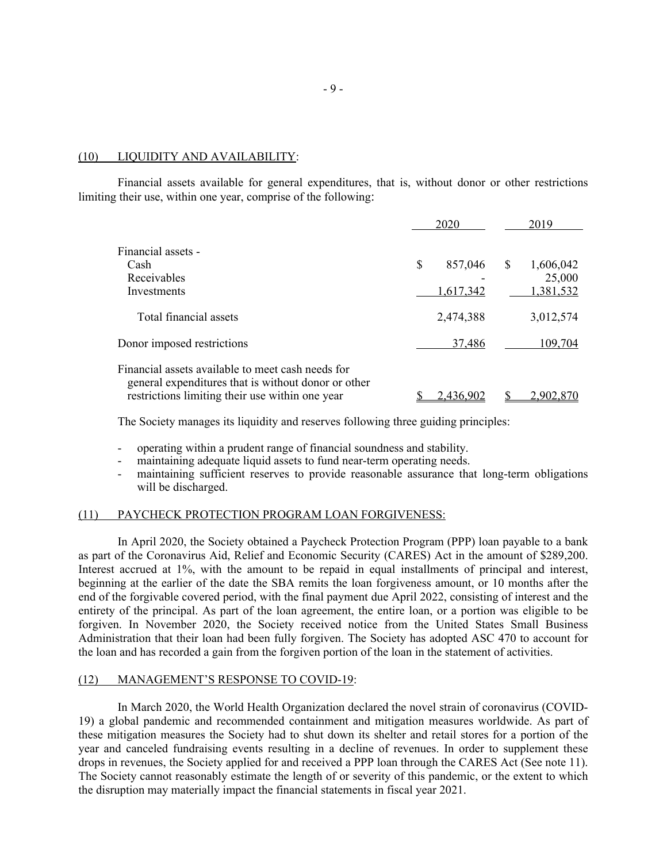#### (10) LIQUIDITY AND AVAILABILITY:

Financial assets available for general expenditures, that is, without donor or other restrictions limiting their use, within one year, comprise of the following:

|                                                                                                        | 2020 |                        | 2019 |                        |
|--------------------------------------------------------------------------------------------------------|------|------------------------|------|------------------------|
| Financial assets -<br>Cash<br>Receivables                                                              | \$   | 857,046                | \$   | 1,606,042<br>25,000    |
| Investments<br>Total financial assets                                                                  |      | 1,617,342<br>2,474,388 |      | 1,381,532<br>3,012,574 |
| Donor imposed restrictions<br>Financial assets available to meet cash needs for                        |      | 37,486                 |      | 109,704                |
| general expenditures that is without donor or other<br>restrictions limiting their use within one year |      | 2.436.902              |      | 2.902.870              |

The Society manages its liquidity and reserves following three guiding principles:

- operating within a prudent range of financial soundness and stability.
- maintaining adequate liquid assets to fund near-term operating needs.
- maintaining sufficient reserves to provide reasonable assurance that long-term obligations will be discharged.

### (11) PAYCHECK PROTECTION PROGRAM LOAN FORGIVENESS:

 In April 2020, the Society obtained a Paycheck Protection Program (PPP) loan payable to a bank as part of the Coronavirus Aid, Relief and Economic Security (CARES) Act in the amount of \$289,200. Interest accrued at 1%, with the amount to be repaid in equal installments of principal and interest, beginning at the earlier of the date the SBA remits the loan forgiveness amount, or 10 months after the end of the forgivable covered period, with the final payment due April 2022, consisting of interest and the entirety of the principal. As part of the loan agreement, the entire loan, or a portion was eligible to be forgiven. In November 2020, the Society received notice from the United States Small Business Administration that their loan had been fully forgiven. The Society has adopted ASC 470 to account for the loan and has recorded a gain from the forgiven portion of the loan in the statement of activities.

## (12) MANAGEMENT'S RESPONSE TO COVID-19:

 In March 2020, the World Health Organization declared the novel strain of coronavirus (COVID-19) a global pandemic and recommended containment and mitigation measures worldwide. As part of these mitigation measures the Society had to shut down its shelter and retail stores for a portion of the year and canceled fundraising events resulting in a decline of revenues. In order to supplement these drops in revenues, the Society applied for and received a PPP loan through the CARES Act (See note 11). The Society cannot reasonably estimate the length of or severity of this pandemic, or the extent to which the disruption may materially impact the financial statements in fiscal year 2021.